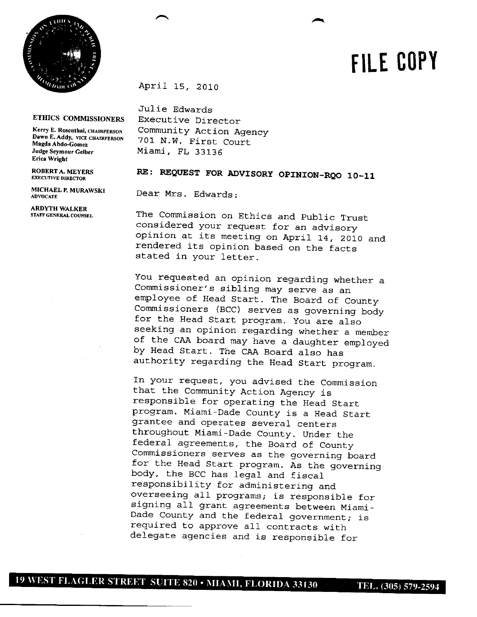

## **FiLE COPY**

April 15, 2010

## **ETHJCS COMMISSIONERS**

**Kerr3' E. Rosenthal, CHAIRPERSON Dawn E. Addy, VICE** CHAIRPERSON **Magda Abdo-Gomez Judge Seymour Gelber Erica Wright**

**ROBERTA. MEYERS** EXECUTIVE **DIRECIOR**

**MICHAEL** *P.* **MURAWSKI ADVOCATE**

**ARDYTH WALKER STAFF GENERAL COUNSEL**

Julie Edwards Executive Director Community Action Agency 701 N.W. First Court Miami, FL 33136

## RE: REQUEST FOR ADVISORY OPINION-RQO 10-11

Dear Mrs. Edwards:

The Commission on Ethics and Public Trust considered your request for an advisory opinion at its meeting on April 14, 2010 and rendered its opinion based on the facts stated in your letter.

You requested an opinion regarding whether a Commissioner's sibling may serve as an employee of Head Start. The Board of County Commissioners (BCC) serves as governing body for the Head Start program. You are also seeking an opinion regarding whether a member of the CAA board may have a daughter employed by Head Start. The CAA Board also has authority regarding the Head Start program.

In your request, you advised the Commission that the Community Action Agency is responsible for operating the Head Start program. Miami-Dade County is a Head Start grantee and operates several centers throughout Miami-Dade County. Under the federal agreements, the Board of County Commissioners serves as the governing board for the Head Start program. As the governing body, the BCC has legal and fiscal responsibility for administering and overseeing all programs; is responsible for signing all grant agreements between Miami-Dade County and the federal government; is required to approve all contracts with delegate agencies and is responsible for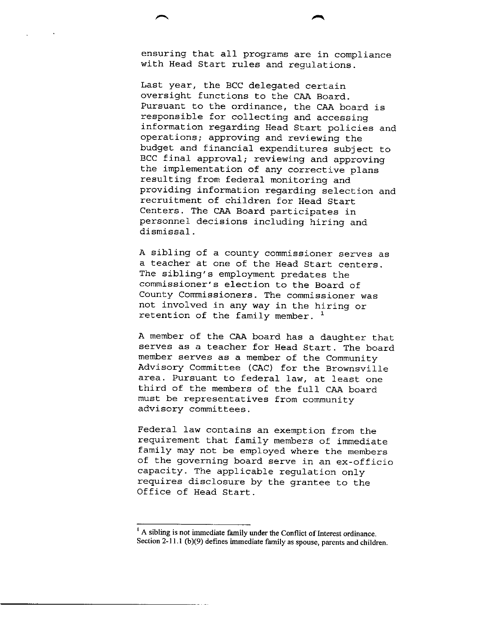ensuring that all programs are in compliance with Head Start rules and regulations.

Last year, the BCC delegated certain oversight functions to the CAA Board. Pursuant to the ordinance, the CAA board is responsible for collecting and accessing information regarding Head Start policies and operations; approving and reviewing the budget and financial expenditures subject to BCC final approval; reviewing and approving the implementation of any corrective plans resulting from federal monitoring and providing information regarding selection and recruitment of children for Head Start Centers. The CAA Board participates in personnel decisions including hiring and dismissal.

A sibling of a county commissioner serves as a teacher at one of the Head Start centers. The sibling's employment predates the commissioner's election to the Board of County Commissioners. The commissioner was not involved in any way in the hiring or retention of the family member. **<sup>1</sup>**

A member of the CAA board has a daughter that serves as a teacher for Head Start. The board member serves as a member of the Community Advisory Committee (CAC) for the Brownsville area. Pursuant to federal law, at least one third of the members of the full CAA board must be representatives from community advisory committees.

Federal law contains an exemption from the requirement that family members of immediate family may not be employed where the members of the governing board serve in an ex-officio capacity. The applicable regulation only requires disclosure by the grantee to the Office of Head Start.

 $<sup>1</sup>$  A sibling is not immediate family under the Conflict of Interest ordinance.</sup> Section 2-11.1 (b) $(9)$  defines immediate family as spouse, parents and children.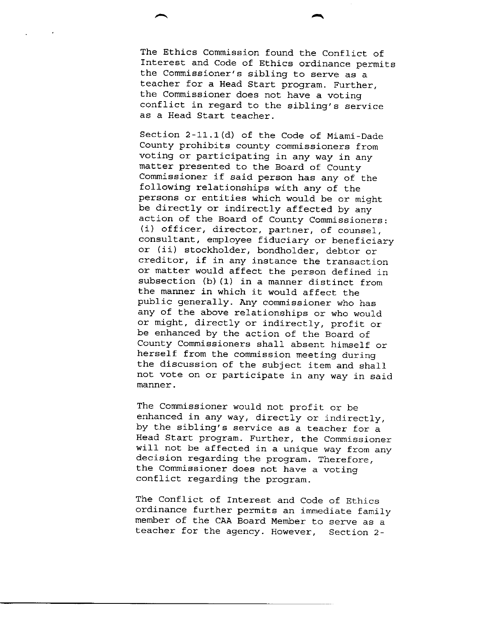The Ethics Commission found the Conflict of Interest and Code of Ethics ordinance permits the Commissioner's sibling to serve as a teacher for a Head Start program. Further, the Commissioner does not have a voting conflict in regard to the sibling's service as a Head Start teacher.

Section 2-11.1(d) of the Code of Miami-Dade County prohibits county commissioners from voting or participating in any way in any matter presented to the Board of County Commissioner if said person has any of the following relationships with any of the persons or entities which would be or might be directly or indirectly affected by any action of the Board of County Commissioners: (i) officer, director, partner, of counsel, consultant, employee fiduciary or beneficiary or (ii) stockholder, bondholder, debtor or creditor, if in any instance the transaction or matter would affect the person defined in subsection (b)  $(1)$  in a manner distinct from the manner in which it would affect the public generally. Any commissioner who has any of the above relationships or who would or might, directly or indirectly, profit or be enhanced by the action of the Board of County Commissioners shall absent himself or herself from the commission meeting during the discussion of the subject item and shall not vote on or participate in any way in said manner.

The Commissioner would not profit or be enhanced in any way, directly or indirectly, by the sibling's service as a teacher for a Head Start program. Further, the Commissioner will not be affected in a unique way from any decision regarding the program. Therefore, the Commissioner does not have a voting conflict regarding the program.

The Conflict of Interest and Code of Ethics ordinance further permits an immediate family member of the CAA Board Member to serve as a teacher for the agency. However, Section 2-